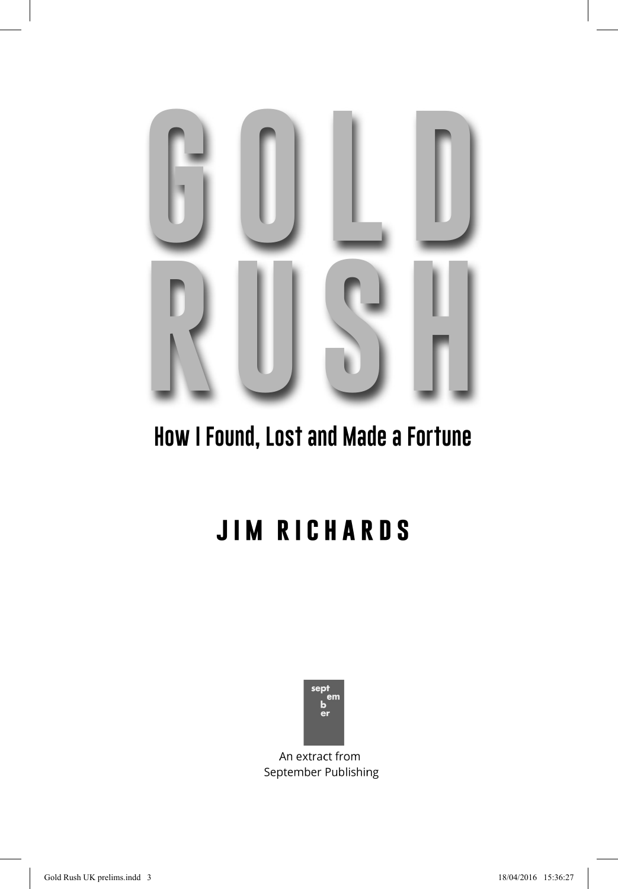

## **How I Found, Lost and Made a Fortune**

# **JIM RICHARDS**



An extract from September Publishing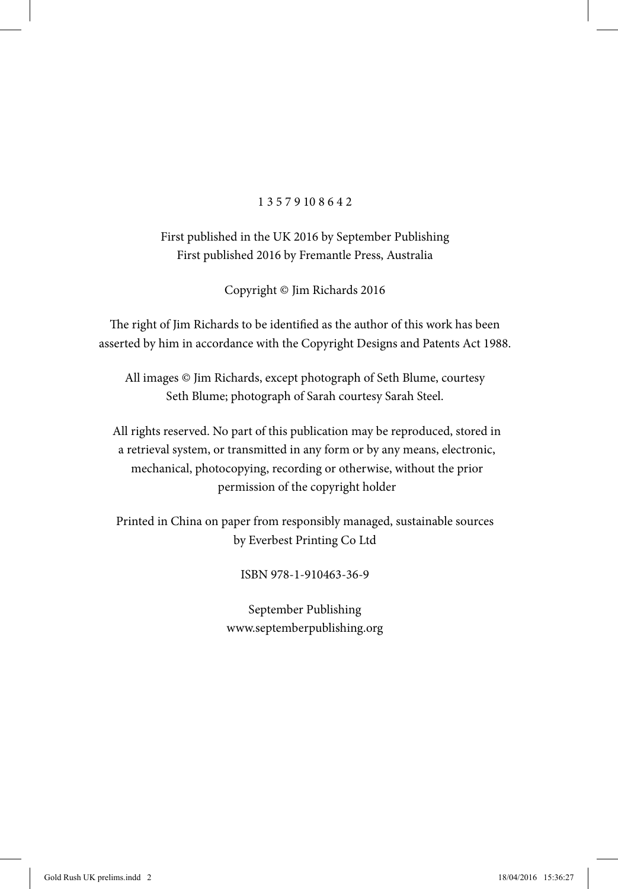#### 1 3 5 7 9 10 8 6 4 2

#### First published in the UK 2016 by September Publishing First published 2016 by Fremantle Press, Australia

Copyright © Jim Richards 2016

The right of Jim Richards to be identified as the author of this work has been asserted by him in accordance with the Copyright Designs and Patents Act 1988.

All images © Jim Richards, except photograph of Seth Blume, courtesy Seth Blume; photograph of Sarah courtesy Sarah Steel.

All rights reserved. No part of this publication may be reproduced, stored in a retrieval system, or transmitted in any form or by any means, electronic, mechanical, photocopying, recording or otherwise, without the prior permission of the copyright holder

Printed in China on paper from responsibly managed, sustainable sources by Everbest Printing Co Ltd

ISBN 978-1-910463-36-9

September Publishing www.septemberpublishing.org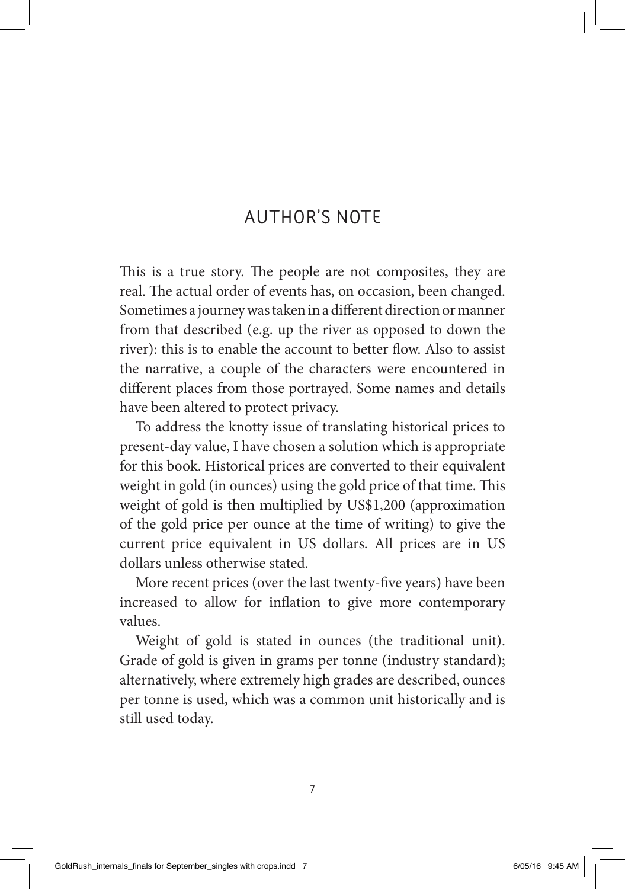## **Author's Note**

This is a true story. The people are not composites, they are real. The actual order of events has, on occasion, been changed. Sometimes a journey was taken in a different direction or manner from that described (e.g. up the river as opposed to down the river): this is to enable the account to better flow. Also to assist the narrative, a couple of the characters were encountered in different places from those portrayed. Some names and details have been altered to protect privacy.

To address the knotty issue of translating historical prices to present-day value, I have chosen a solution which is appropriate for this book. Historical prices are converted to their equivalent weight in gold (in ounces) using the gold price of that time. This weight of gold is then multiplied by US\$1,200 (approximation of the gold price per ounce at the time of writing) to give the current price equivalent in US dollars. All prices are in US dollars unless otherwise stated.

More recent prices (over the last twenty-five years) have been increased to allow for inflation to give more contemporary values.

Weight of gold is stated in ounces (the traditional unit). Grade of gold is given in grams per tonne (industry standard); alternatively, where extremely high grades are described, ounces per tonne is used, which was a common unit historically and is still used today.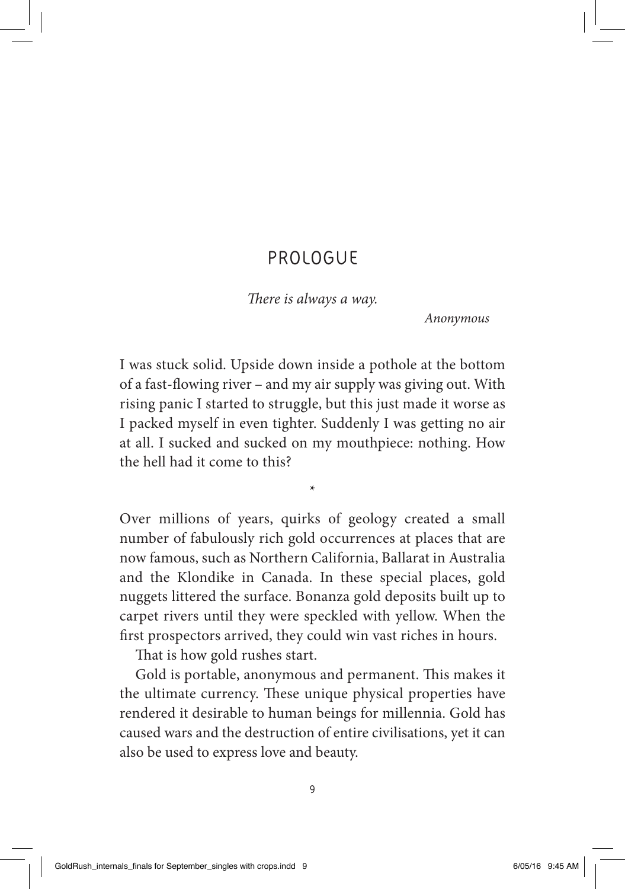### **Prologue**

*There is always a way.* 

*Anonymous*

I was stuck solid. Upside down inside a pothole at the bottom of a fast-flowing river – and my air supply was giving out. With rising panic I started to struggle, but this just made it worse as I packed myself in even tighter. Suddenly I was getting no air at all. I sucked and sucked on my mouthpiece: nothing. How the hell had it come to this?

\*

Over millions of years, quirks of geology created a small number of fabulously rich gold occurrences at places that are now famous, such as Northern California, Ballarat in Australia and the Klondike in Canada. In these special places, gold nuggets littered the surface. Bonanza gold deposits built up to carpet rivers until they were speckled with yellow. When the first prospectors arrived, they could win vast riches in hours.

That is how gold rushes start.

Gold is portable, anonymous and permanent. This makes it the ultimate currency. These unique physical properties have rendered it desirable to human beings for millennia. Gold has caused wars and the destruction of entire civilisations, yet it can also be used to express love and beauty.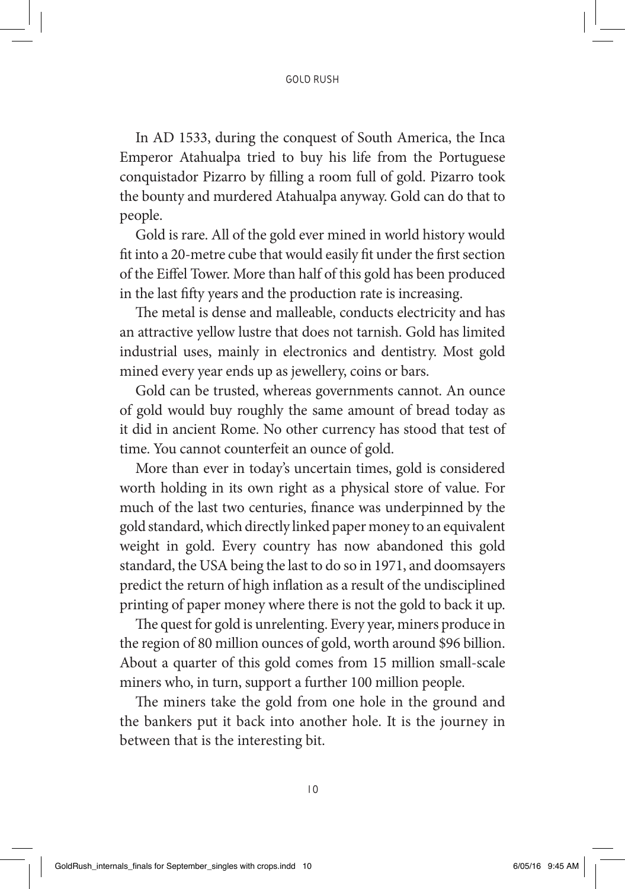**GOLD RUSH**

In AD 1533, during the conquest of South America, the Inca Emperor Atahualpa tried to buy his life from the Portuguese conquistador Pizarro by filling a room full of gold. Pizarro took the bounty and murdered Atahualpa anyway. Gold can do that to people.

Gold is rare. All of the gold ever mined in world history would fit into a 20-metre cube that would easily fit under the first section of the Eiffel Tower. More than half of this gold has been produced in the last fifty years and the production rate is increasing.

The metal is dense and malleable, conducts electricity and has an attractive yellow lustre that does not tarnish. Gold has limited industrial uses, mainly in electronics and dentistry. Most gold mined every year ends up as jewellery, coins or bars.

Gold can be trusted, whereas governments cannot. An ounce of gold would buy roughly the same amount of bread today as it did in ancient Rome. No other currency has stood that test of time. You cannot counterfeit an ounce of gold.

More than ever in today's uncertain times, gold is considered worth holding in its own right as a physical store of value. For much of the last two centuries, finance was underpinned by the gold standard, which directly linked paper money to an equivalent weight in gold. Every country has now abandoned this gold standard, the USA being the last to do so in 1971, and doomsayers predict the return of high inflation as a result of the undisciplined printing of paper money where there is not the gold to back it up.

The quest for gold is unrelenting. Every year, miners produce in the region of 80 million ounces of gold, worth around \$96 billion. About a quarter of this gold comes from 15 million small-scale miners who, in turn, support a further 100 million people.

The miners take the gold from one hole in the ground and the bankers put it back into another hole. It is the journey in between that is the interesting bit.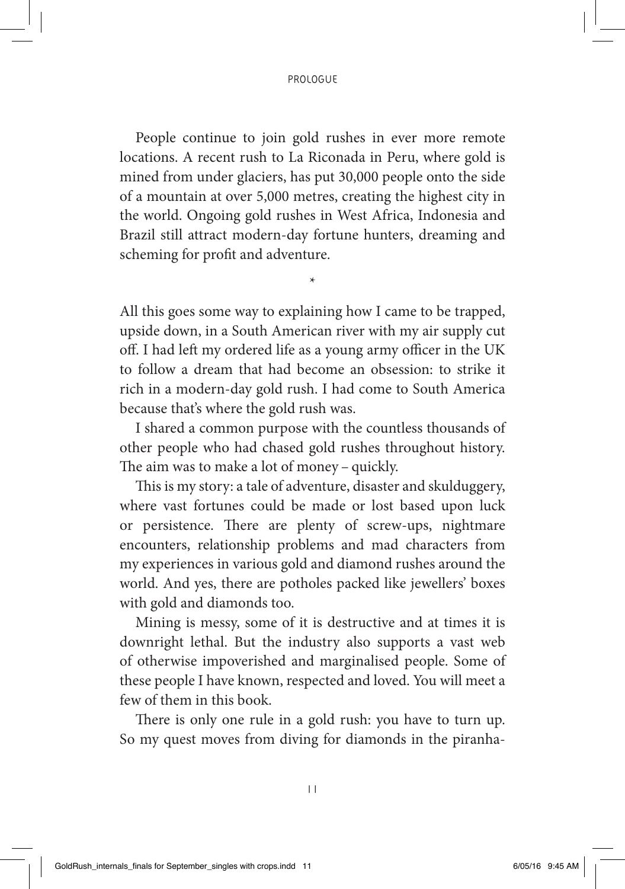People continue to join gold rushes in ever more remote locations. A recent rush to La Riconada in Peru, where gold is mined from under glaciers, has put 30,000 people onto the side of a mountain at over 5,000 metres, creating the highest city in the world. Ongoing gold rushes in West Africa, Indonesia and Brazil still attract modern-day fortune hunters, dreaming and scheming for profit and adventure.

All this goes some way to explaining how I came to be trapped, upside down, in a South American river with my air supply cut off. I had left my ordered life as a young army officer in the UK to follow a dream that had become an obsession: to strike it rich in a modern-day gold rush. I had come to South America because that's where the gold rush was.

\*

I shared a common purpose with the countless thousands of other people who had chased gold rushes throughout history. The aim was to make a lot of money – quickly.

This is my story: a tale of adventure, disaster and skulduggery, where vast fortunes could be made or lost based upon luck or persistence. There are plenty of screw-ups, nightmare encounters, relationship problems and mad characters from my experiences in various gold and diamond rushes around the world. And yes, there are potholes packed like jewellers' boxes with gold and diamonds too.

Mining is messy, some of it is destructive and at times it is downright lethal. But the industry also supports a vast web of otherwise impoverished and marginalised people. Some of these people I have known, respected and loved. You will meet a few of them in this book.

There is only one rule in a gold rush: you have to turn up. So my quest moves from diving for diamonds in the piranha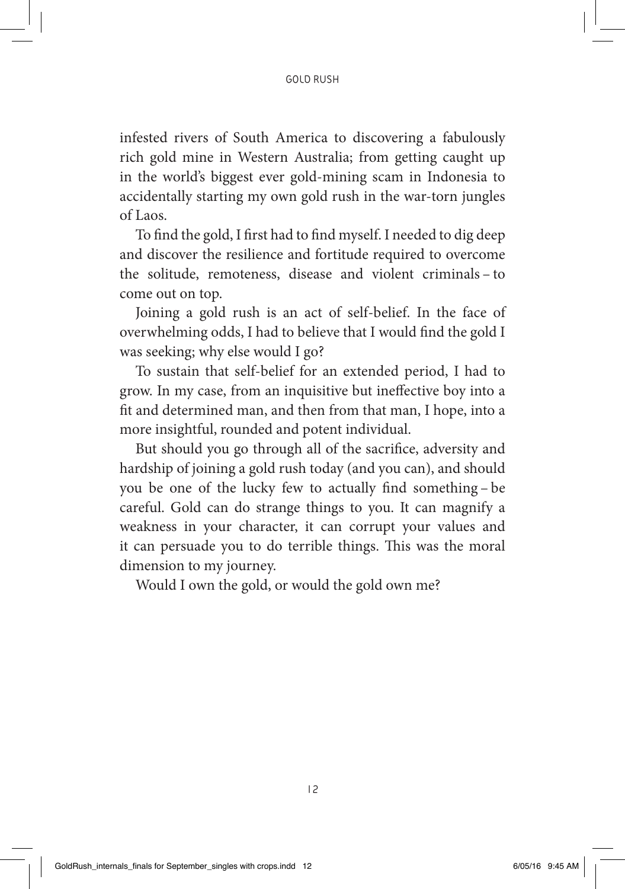infested rivers of South America to discovering a fabulously rich gold mine in Western Australia; from getting caught up in the world's biggest ever gold-mining scam in Indonesia to accidentally starting my own gold rush in the war-torn jungles of Laos.

To find the gold, I first had to find myself. I needed to dig deep and discover the resilience and fortitude required to overcome the solitude, remoteness, disease and violent criminals – to come out on top.

Joining a gold rush is an act of self-belief. In the face of overwhelming odds, I had to believe that I would find the gold I was seeking; why else would I go?

To sustain that self-belief for an extended period, I had to grow. In my case, from an inquisitive but ineffective boy into a fit and determined man, and then from that man, I hope, into a more insightful, rounded and potent individual.

But should you go through all of the sacrifice, adversity and hardship of joining a gold rush today (and you can), and should you be one of the lucky few to actually find something – be careful. Gold can do strange things to you. It can magnify a weakness in your character, it can corrupt your values and it can persuade you to do terrible things. This was the moral dimension to my journey.

Would I own the gold, or would the gold own me?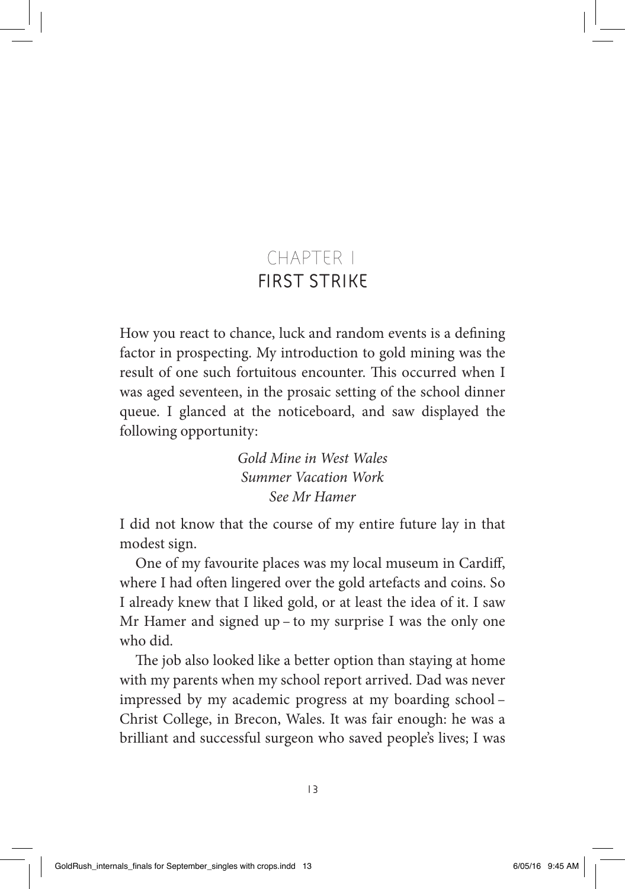## Chapter 1 **First Strike**

How you react to chance, luck and random events is a defining factor in prospecting. My introduction to gold mining was the result of one such fortuitous encounter. This occurred when I was aged seventeen, in the prosaic setting of the school dinner queue. I glanced at the noticeboard, and saw displayed the following opportunity:

> *Gold Mine in West Wales Summer Vacation Work See Mr Hamer*

I did not know that the course of my entire future lay in that modest sign.

One of my favourite places was my local museum in Cardiff, where I had often lingered over the gold artefacts and coins. So I already knew that I liked gold, or at least the idea of it. I saw Mr Hamer and signed up – to my surprise I was the only one who did.

The job also looked like a better option than staying at home with my parents when my school report arrived. Dad was never impressed by my academic progress at my boarding school – Christ College, in Brecon, Wales. It was fair enough: he was a brilliant and successful surgeon who saved people's lives; I was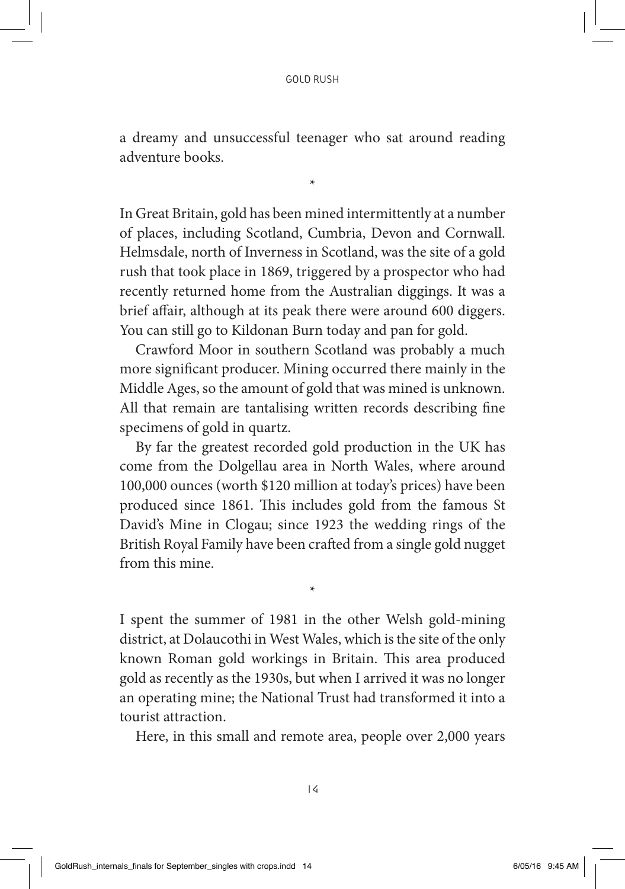a dreamy and unsuccessful teenager who sat around reading adventure books.

\*

In Great Britain, gold has been mined intermittently at a number of places, including Scotland, Cumbria, Devon and Cornwall. Helmsdale, north of Inverness in Scotland, was the site of a gold rush that took place in 1869, triggered by a prospector who had recently returned home from the Australian diggings. It was a brief affair, although at its peak there were around 600 diggers. You can still go to Kildonan Burn today and pan for gold.

Crawford Moor in southern Scotland was probably a much more significant producer. Mining occurred there mainly in the Middle Ages, so the amount of gold that was mined is unknown. All that remain are tantalising written records describing fine specimens of gold in quartz.

By far the greatest recorded gold production in the UK has come from the Dolgellau area in North Wales, where around 100,000 ounces (worth \$120 million at today's prices) have been produced since 1861. This includes gold from the famous St David's Mine in Clogau; since 1923 the wedding rings of the British Royal Family have been crafted from a single gold nugget from this mine.

I spent the summer of 1981 in the other Welsh gold-mining district, at Dolaucothi in West Wales, which is the site of the only known Roman gold workings in Britain. This area produced gold as recently as the 1930s, but when I arrived it was no longer an operating mine; the National Trust had transformed it into a tourist attraction.

\*

Here, in this small and remote area, people over 2,000 years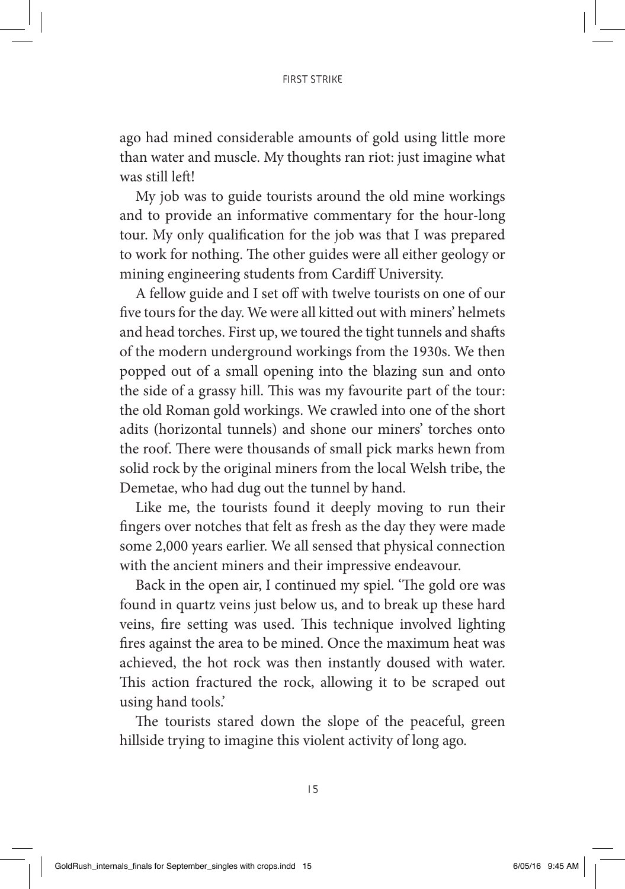ago had mined considerable amounts of gold using little more than water and muscle. My thoughts ran riot: just imagine what was still left!

My job was to guide tourists around the old mine workings and to provide an informative commentary for the hour-long tour. My only qualification for the job was that I was prepared to work for nothing. The other guides were all either geology or mining engineering students from Cardiff University.

A fellow guide and I set off with twelve tourists on one of our five tours for the day. We were all kitted out with miners' helmets and head torches. First up, we toured the tight tunnels and shafts of the modern underground workings from the 1930s. We then popped out of a small opening into the blazing sun and onto the side of a grassy hill. This was my favourite part of the tour: the old Roman gold workings. We crawled into one of the short adits (horizontal tunnels) and shone our miners' torches onto the roof. There were thousands of small pick marks hewn from solid rock by the original miners from the local Welsh tribe, the Demetae, who had dug out the tunnel by hand.

Like me, the tourists found it deeply moving to run their fingers over notches that felt as fresh as the day they were made some 2,000 years earlier. We all sensed that physical connection with the ancient miners and their impressive endeavour.

Back in the open air, I continued my spiel. 'The gold ore was found in quartz veins just below us, and to break up these hard veins, fire setting was used. This technique involved lighting fires against the area to be mined. Once the maximum heat was achieved, the hot rock was then instantly doused with water. This action fractured the rock, allowing it to be scraped out using hand tools.'

The tourists stared down the slope of the peaceful, green hillside trying to imagine this violent activity of long ago.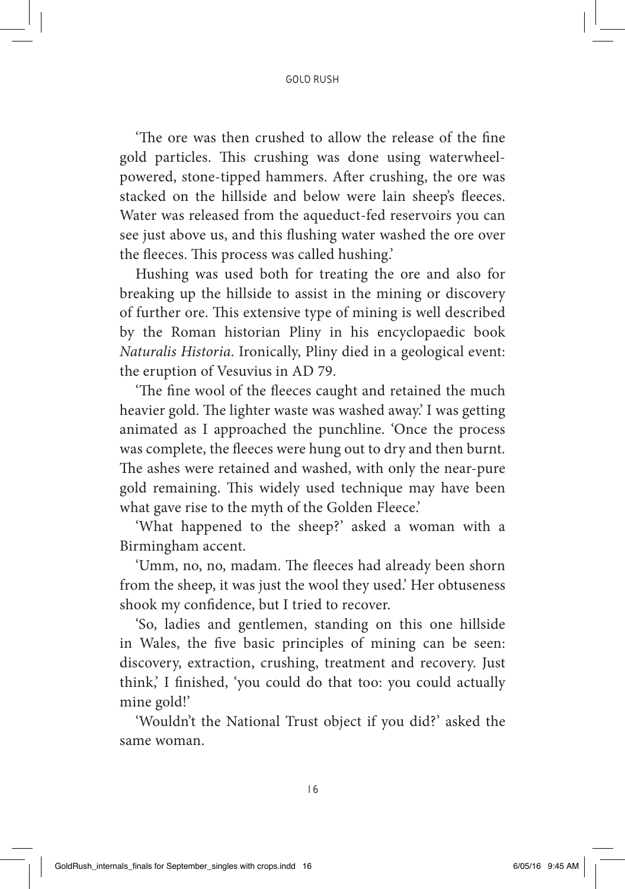'The ore was then crushed to allow the release of the fine gold particles. This crushing was done using waterwheelpowered, stone-tipped hammers. After crushing, the ore was stacked on the hillside and below were lain sheep's fleeces. Water was released from the aqueduct-fed reservoirs you can see just above us, and this flushing water washed the ore over the fleeces. This process was called hushing.'

Hushing was used both for treating the ore and also for breaking up the hillside to assist in the mining or discovery of further ore. This extensive type of mining is well described by the Roman historian Pliny in his encyclopaedic book *Naturalis Historia*. Ironically, Pliny died in a geological event: the eruption of Vesuvius in AD 79.

'The fine wool of the fleeces caught and retained the much heavier gold. The lighter waste was washed away.' I was getting animated as I approached the punchline. 'Once the process was complete, the fleeces were hung out to dry and then burnt. The ashes were retained and washed, with only the near-pure gold remaining. This widely used technique may have been what gave rise to the myth of the Golden Fleece.'

'What happened to the sheep?' asked a woman with a Birmingham accent.

'Umm, no, no, madam. The fleeces had already been shorn from the sheep, it was just the wool they used.' Her obtuseness shook my confidence, but I tried to recover.

'So, ladies and gentlemen, standing on this one hillside in Wales, the five basic principles of mining can be seen: discovery, extraction, crushing, treatment and recovery. Just think,' I finished, 'you could do that too: you could actually mine gold!'

'Wouldn't the National Trust object if you did?' asked the same woman.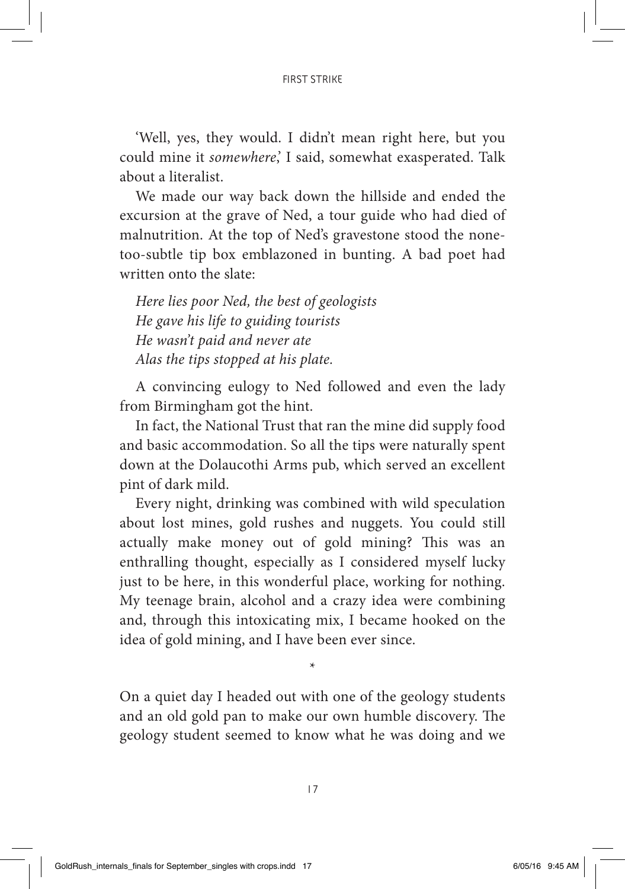'Well, yes, they would. I didn't mean right here, but you could mine it *somewhere*,' I said, somewhat exasperated. Talk about a literalist.

We made our way back down the hillside and ended the excursion at the grave of Ned, a tour guide who had died of malnutrition. At the top of Ned's gravestone stood the nonetoo-subtle tip box emblazoned in bunting. A bad poet had written onto the slate:

*Here lies poor Ned, the best of geologists He gave his life to guiding tourists He wasn't paid and never ate Alas the tips stopped at his plate.*

A convincing eulogy to Ned followed and even the lady from Birmingham got the hint.

In fact, the National Trust that ran the mine did supply food and basic accommodation. So all the tips were naturally spent down at the Dolaucothi Arms pub, which served an excellent pint of dark mild.

Every night, drinking was combined with wild speculation about lost mines, gold rushes and nuggets. You could still actually make money out of gold mining? This was an enthralling thought, especially as I considered myself lucky just to be here, in this wonderful place, working for nothing. My teenage brain, alcohol and a crazy idea were combining and, through this intoxicating mix, I became hooked on the idea of gold mining, and I have been ever since.

On a quiet day I headed out with one of the geology students and an old gold pan to make our own humble discovery. The geology student seemed to know what he was doing and we

\*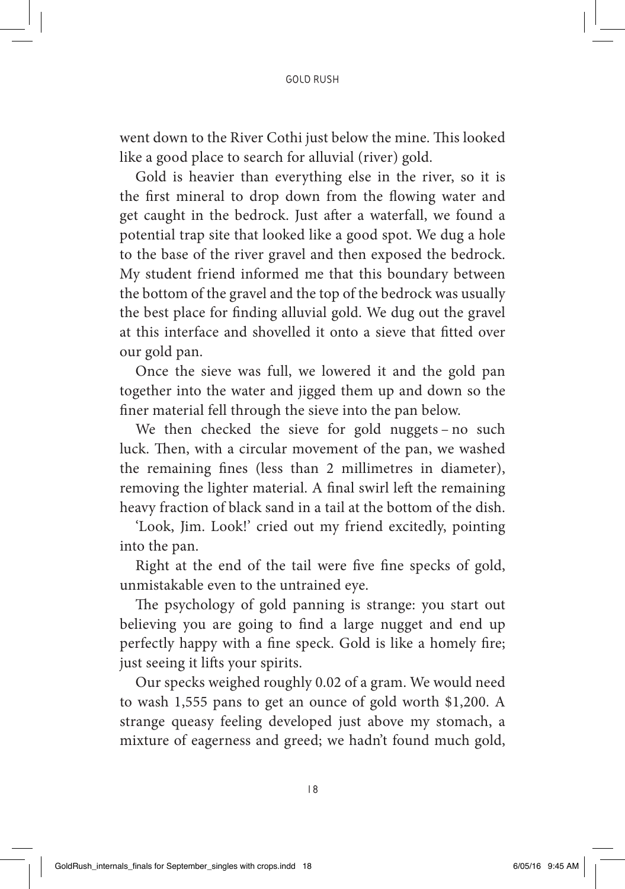went down to the River Cothi just below the mine. This looked like a good place to search for alluvial (river) gold.

Gold is heavier than everything else in the river, so it is the first mineral to drop down from the flowing water and get caught in the bedrock. Just after a waterfall, we found a potential trap site that looked like a good spot. We dug a hole to the base of the river gravel and then exposed the bedrock. My student friend informed me that this boundary between the bottom of the gravel and the top of the bedrock was usually the best place for finding alluvial gold. We dug out the gravel at this interface and shovelled it onto a sieve that fitted over our gold pan.

Once the sieve was full, we lowered it and the gold pan together into the water and jigged them up and down so the finer material fell through the sieve into the pan below.

We then checked the sieve for gold nuggets – no such luck. Then, with a circular movement of the pan, we washed the remaining fines (less than 2 millimetres in diameter), removing the lighter material. A final swirl left the remaining heavy fraction of black sand in a tail at the bottom of the dish.

'Look, Jim. Look!' cried out my friend excitedly, pointing into the pan.

Right at the end of the tail were five fine specks of gold, unmistakable even to the untrained eye.

The psychology of gold panning is strange: you start out believing you are going to find a large nugget and end up perfectly happy with a fine speck. Gold is like a homely fire; just seeing it lifts your spirits.

Our specks weighed roughly 0.02 of a gram. We would need to wash 1,555 pans to get an ounce of gold worth \$1,200. A strange queasy feeling developed just above my stomach, a mixture of eagerness and greed; we hadn't found much gold,